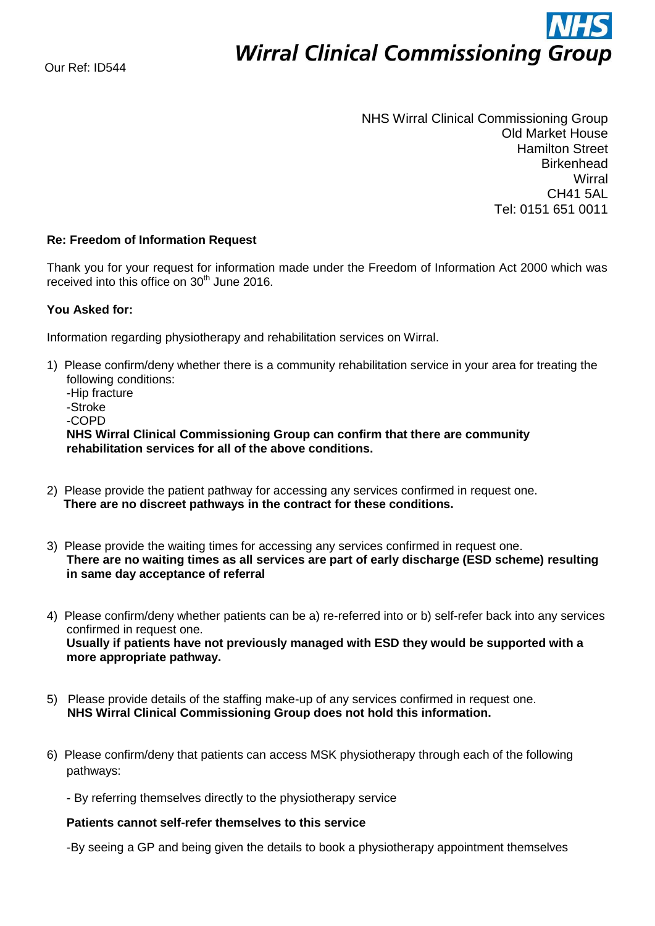# **Wirral Clinical Commissioning Group**

NHS Wirral Clinical Commissioning Group Old Market House Hamilton Street **Birkenhead Wirral** CH41 5AL Tel: 0151 651 0011

## **Re: Freedom of Information Request**

Thank you for your request for information made under the Freedom of Information Act 2000 which was received into this office on  $30<sup>th</sup>$  June 2016.

## **You Asked for:**

Information regarding physiotherapy and rehabilitation services on Wirral.

- 1) Please confirm/deny whether there is a community rehabilitation service in your area for treating the following conditions: -Hip fracture -Stroke -COPD **NHS Wirral Clinical Commissioning Group can confirm that there are community rehabilitation services for all of the above conditions.**
- 2) Please provide the patient pathway for accessing any services confirmed in request one.  **There are no discreet pathways in the contract for these conditions.**
- 3) Please provide the waiting times for accessing any services confirmed in request one. **There are no waiting times as all services are part of early discharge (ESD scheme) resulting in same day acceptance of referral**
- 4) Please confirm/deny whether patients can be a) re-referred into or b) self-refer back into any services confirmed in request one. **Usually if patients have not previously managed with ESD they would be supported with a more appropriate pathway.**
- 5) Please provide details of the staffing make-up of any services confirmed in request one. **NHS Wirral Clinical Commissioning Group does not hold this information.**
- 6) Please confirm/deny that patients can access MSK physiotherapy through each of the following pathways:
	- By referring themselves directly to the physiotherapy service

## **Patients cannot self-refer themselves to this service**

-By seeing a GP and being given the details to book a physiotherapy appointment themselves